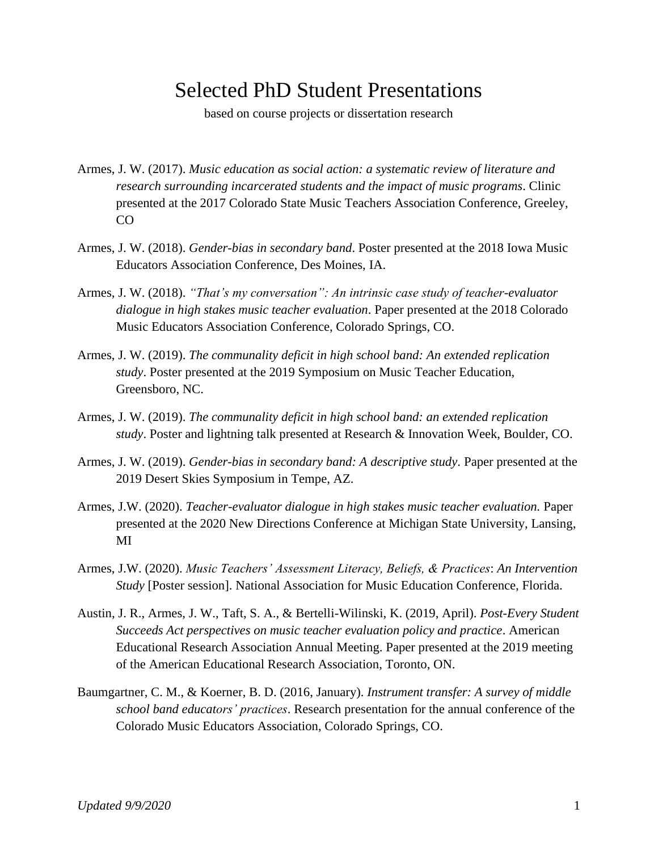## Selected PhD Student Presentations

based on course projects or dissertation research

Armes, J. W. (2017). *Music education as social action: a systematic review of literature and research surrounding incarcerated students and the impact of music programs*. Clinic presented at the 2017 Colorado State Music Teachers Association Conference, Greeley, CO

- Armes, J. W. (2018). *Gender-bias in secondary band*. Poster presented at the 2018 Iowa Music Educators Association Conference, Des Moines, IA.
- Armes, J. W. (2018). *"That's my conversation": An intrinsic case study of teacher-evaluator dialogue in high stakes music teacher evaluation*. Paper presented at the 2018 Colorado Music Educators Association Conference, Colorado Springs, CO.
- Armes, J. W. (2019). *The communality deficit in high school band: An extended replication study*. Poster presented at the 2019 Symposium on Music Teacher Education, Greensboro, NC.
- Armes, J. W. (2019). *The communality deficit in high school band: an extended replication study*. Poster and lightning talk presented at Research & Innovation Week, Boulder, CO.
- Armes, J. W. (2019). *Gender-bias in secondary band: A descriptive study*. Paper presented at the 2019 Desert Skies Symposium in Tempe, AZ.
- Armes, J.W. (2020). *Teacher-evaluator dialogue in high stakes music teacher evaluation.* Paper presented at the 2020 New Directions Conference at Michigan State University, Lansing, MI
- Armes, J.W. (2020). *Music Teachers' Assessment Literacy, Beliefs, & Practices*: *An Intervention Study* [Poster session]. National Association for Music Education Conference, Florida.
- Austin, J. R., Armes, J. W., Taft, S. A., & Bertelli-Wilinski, K. (2019, April). *Post-Every Student Succeeds Act perspectives on music teacher evaluation policy and practice*. American Educational Research Association Annual Meeting. Paper presented at the 2019 meeting of the American Educational Research Association, Toronto, ON.
- Baumgartner, C. M., & Koerner, B. D. (2016, January). *Instrument transfer: A survey of middle school band educators' practices*. Research presentation for the annual conference of the Colorado Music Educators Association, Colorado Springs, CO.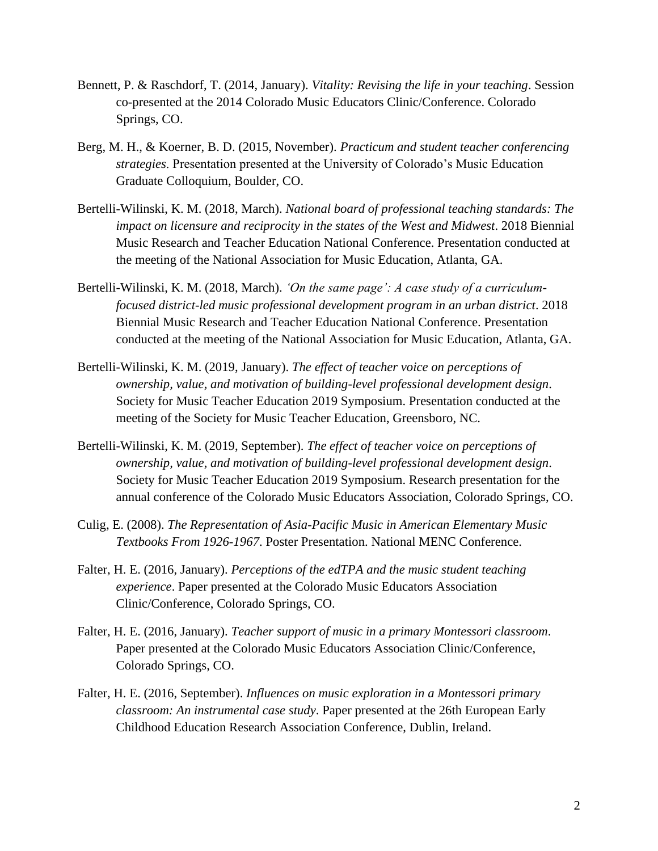- Bennett, P. & Raschdorf, T. (2014, January). *Vitality: Revising the life in your teaching*. Session co-presented at the 2014 Colorado Music Educators Clinic/Conference. Colorado Springs, CO.
- Berg, M. H., & Koerner, B. D. (2015, November). *Practicum and student teacher conferencing strategies*. Presentation presented at the University of Colorado's Music Education Graduate Colloquium, Boulder, CO.
- Bertelli-Wilinski, K. M. (2018, March). *National board of professional teaching standards: The impact on licensure and reciprocity in the states of the West and Midwest*. 2018 Biennial Music Research and Teacher Education National Conference. Presentation conducted at the meeting of the National Association for Music Education, Atlanta, GA.
- Bertelli-Wilinski, K. M. (2018, March). *'On the same page': A case study of a curriculumfocused district-led music professional development program in an urban district*. 2018 Biennial Music Research and Teacher Education National Conference. Presentation conducted at the meeting of the National Association for Music Education, Atlanta, GA.
- Bertelli-Wilinski, K. M. (2019, January). *The effect of teacher voice on perceptions of ownership, value, and motivation of building-level professional development design*. Society for Music Teacher Education 2019 Symposium. Presentation conducted at the meeting of the Society for Music Teacher Education, Greensboro, NC.
- Bertelli-Wilinski, K. M. (2019, September). *The effect of teacher voice on perceptions of ownership, value, and motivation of building-level professional development design*. Society for Music Teacher Education 2019 Symposium. Research presentation for the annual conference of the Colorado Music Educators Association, Colorado Springs, CO.
- Culig, E. (2008). *The Representation of Asia-Pacific Music in American Elementary Music Textbooks From 1926-1967*. Poster Presentation. National MENC Conference.
- Falter, H. E. (2016, January). *Perceptions of the edTPA and the music student teaching experience*. Paper presented at the Colorado Music Educators Association Clinic/Conference, Colorado Springs, CO.
- Falter, H. E. (2016, January). *Teacher support of music in a primary Montessori classroom*. Paper presented at the Colorado Music Educators Association Clinic/Conference, Colorado Springs, CO.
- Falter, H. E. (2016, September). *Influences on music exploration in a Montessori primary classroom: An instrumental case study*. Paper presented at the 26th European Early Childhood Education Research Association Conference, Dublin, Ireland.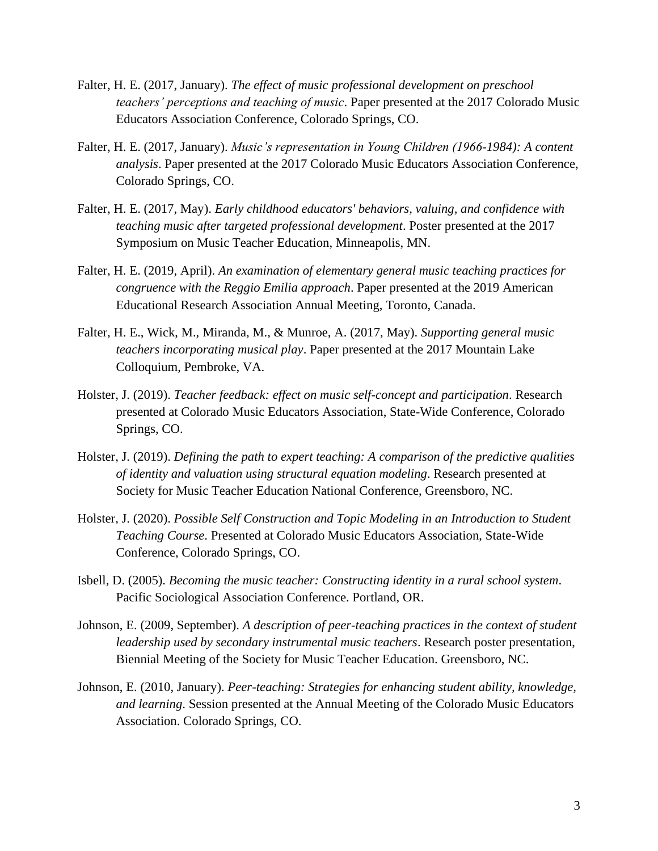- Falter, H. E. (2017, January). *The effect of music professional development on preschool teachers' perceptions and teaching of music*. Paper presented at the 2017 Colorado Music Educators Association Conference, Colorado Springs, CO.
- Falter, H. E. (2017, January). *Music's representation in Young Children (1966-1984): A content analysis*. Paper presented at the 2017 Colorado Music Educators Association Conference, Colorado Springs, CO.
- Falter, H. E. (2017, May). *Early childhood educators' behaviors, valuing, and confidence with teaching music after targeted professional development*. Poster presented at the 2017 Symposium on Music Teacher Education, Minneapolis, MN.
- Falter, H. E. (2019, April). *An examination of elementary general music teaching practices for congruence with the Reggio Emilia approach*. Paper presented at the 2019 American Educational Research Association Annual Meeting, Toronto, Canada.
- Falter, H. E., Wick, M., Miranda, M., & Munroe, A. (2017, May). *Supporting general music teachers incorporating musical play*. Paper presented at the 2017 Mountain Lake Colloquium, Pembroke, VA.
- Holster, J. (2019). *Teacher feedback: effect on music self-concept and participation*. Research presented at Colorado Music Educators Association, State-Wide Conference, Colorado Springs, CO.
- Holster, J. (2019). *Defining the path to expert teaching: A comparison of the predictive qualities of identity and valuation using structural equation modeling*. Research presented at Society for Music Teacher Education National Conference, Greensboro, NC.
- Holster, J. (2020). *Possible Self Construction and Topic Modeling in an Introduction to Student Teaching Course*. Presented at Colorado Music Educators Association, State-Wide Conference, Colorado Springs, CO.
- Isbell, D. (2005). *Becoming the music teacher: Constructing identity in a rural school system*. Pacific Sociological Association Conference. Portland, OR.
- Johnson, E. (2009, September). *A description of peer-teaching practices in the context of student leadership used by secondary instrumental music teachers*. Research poster presentation, Biennial Meeting of the Society for Music Teacher Education. Greensboro, NC.
- Johnson, E. (2010, January). *Peer-teaching: Strategies for enhancing student ability, knowledge, and learning*. Session presented at the Annual Meeting of the Colorado Music Educators Association. Colorado Springs, CO.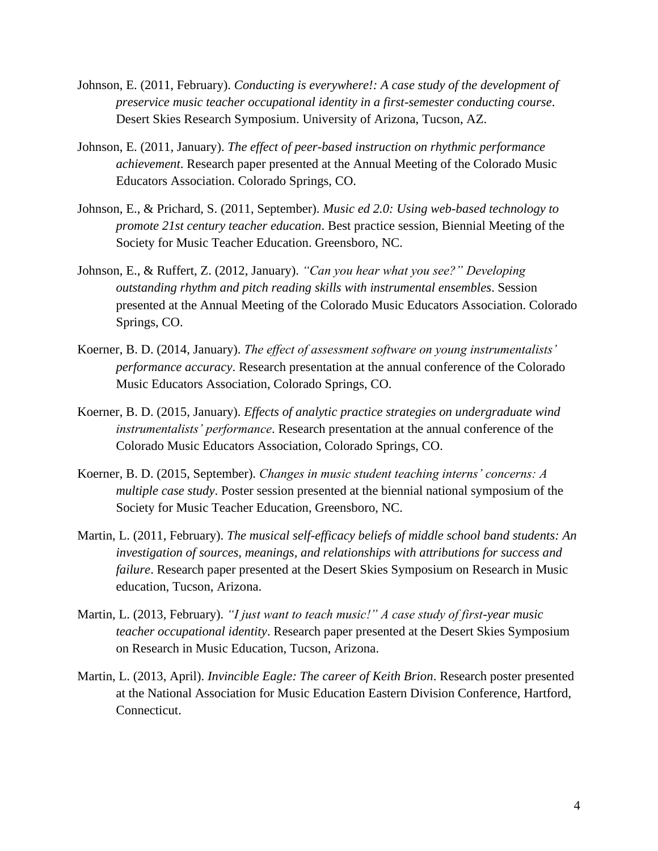- Johnson, E. (2011, February). *Conducting is everywhere!: A case study of the development of preservice music teacher occupational identity in a first-semester conducting course*. Desert Skies Research Symposium. University of Arizona, Tucson, AZ.
- Johnson, E. (2011, January). *The effect of peer-based instruction on rhythmic performance achievement*. Research paper presented at the Annual Meeting of the Colorado Music Educators Association. Colorado Springs, CO.
- Johnson, E., & Prichard, S. (2011, September). *Music ed 2.0: Using web-based technology to promote 21st century teacher education*. Best practice session, Biennial Meeting of the Society for Music Teacher Education. Greensboro, NC.
- Johnson, E., & Ruffert, Z. (2012, January). *"Can you hear what you see?" Developing outstanding rhythm and pitch reading skills with instrumental ensembles*. Session presented at the Annual Meeting of the Colorado Music Educators Association. Colorado Springs, CO.
- Koerner, B. D. (2014, January). *The effect of assessment software on young instrumentalists' performance accuracy*. Research presentation at the annual conference of the Colorado Music Educators Association, Colorado Springs, CO.
- Koerner, B. D. (2015, January). *Effects of analytic practice strategies on undergraduate wind instrumentalists' performance*. Research presentation at the annual conference of the Colorado Music Educators Association, Colorado Springs, CO.
- Koerner, B. D. (2015, September). *Changes in music student teaching interns' concerns: A multiple case study*. Poster session presented at the biennial national symposium of the Society for Music Teacher Education, Greensboro, NC.
- Martin, L. (2011, February). *The musical self-efficacy beliefs of middle school band students: An investigation of sources, meanings, and relationships with attributions for success and failure*. Research paper presented at the Desert Skies Symposium on Research in Music education, Tucson, Arizona.
- Martin, L. (2013, February). *"I just want to teach music!" A case study of first-year music teacher occupational identity*. Research paper presented at the Desert Skies Symposium on Research in Music Education, Tucson, Arizona.
- Martin, L. (2013, April). *Invincible Eagle: The career of Keith Brion*. Research poster presented at the National Association for Music Education Eastern Division Conference, Hartford, Connecticut.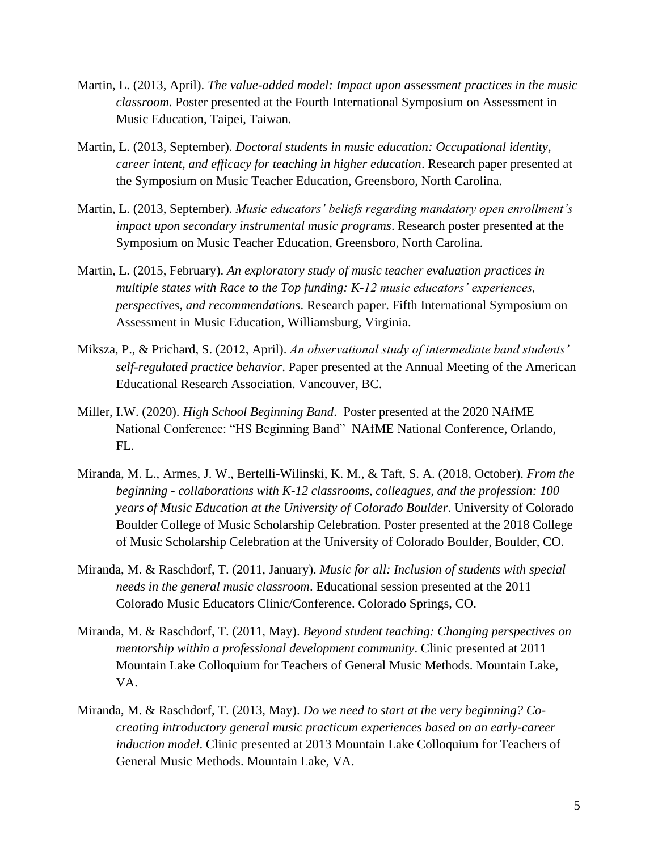- Martin, L. (2013, April). *The value-added model: Impact upon assessment practices in the music classroom*. Poster presented at the Fourth International Symposium on Assessment in Music Education, Taipei, Taiwan.
- Martin, L. (2013, September). *Doctoral students in music education: Occupational identity, career intent, and efficacy for teaching in higher education*. Research paper presented at the Symposium on Music Teacher Education, Greensboro, North Carolina.
- Martin, L. (2013, September). *Music educators' beliefs regarding mandatory open enrollment's impact upon secondary instrumental music programs*. Research poster presented at the Symposium on Music Teacher Education, Greensboro, North Carolina.
- Martin, L. (2015, February). *An exploratory study of music teacher evaluation practices in multiple states with Race to the Top funding: K-12 music educators' experiences, perspectives, and recommendations*. Research paper. Fifth International Symposium on Assessment in Music Education, Williamsburg, Virginia.
- Miksza, P., & Prichard, S. (2012, April). *An observational study of intermediate band students' self-regulated practice behavior*. Paper presented at the Annual Meeting of the American Educational Research Association. Vancouver, BC.
- Miller, I.W. (2020). *High School Beginning Band*. Poster presented at the 2020 NAfME National Conference: "HS Beginning Band" NAfME National Conference, Orlando,  $FL.$
- Miranda, M. L., Armes, J. W., Bertelli-Wilinski, K. M., & Taft, S. A. (2018, October). *From the beginning - collaborations with K-12 classrooms, colleagues, and the profession: 100 years of Music Education at the University of Colorado Boulder*. University of Colorado Boulder College of Music Scholarship Celebration. Poster presented at the 2018 College of Music Scholarship Celebration at the University of Colorado Boulder, Boulder, CO.
- Miranda, M. & Raschdorf, T. (2011, January). *Music for all: Inclusion of students with special needs in the general music classroom*. Educational session presented at the 2011 Colorado Music Educators Clinic/Conference. Colorado Springs, CO.
- Miranda, M. & Raschdorf, T. (2011, May). *Beyond student teaching: Changing perspectives on mentorship within a professional development community*. Clinic presented at 2011 Mountain Lake Colloquium for Teachers of General Music Methods. Mountain Lake, VA.
- Miranda, M. & Raschdorf, T. (2013, May). *Do we need to start at the very beginning? Cocreating introductory general music practicum experiences based on an early-career induction model*. Clinic presented at 2013 Mountain Lake Colloquium for Teachers of General Music Methods. Mountain Lake, VA.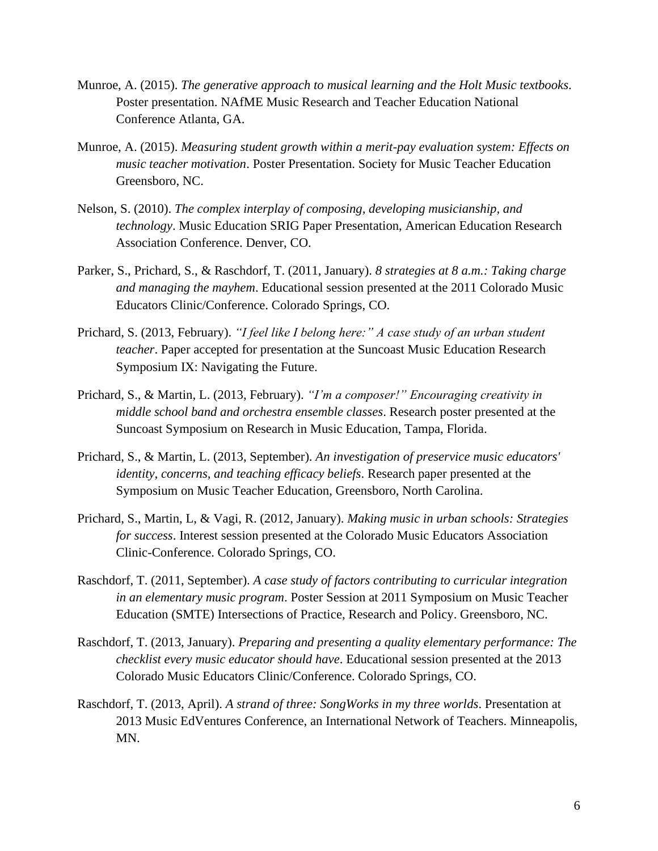- Munroe, A. (2015). *The generative approach to musical learning and the Holt Music textbooks*. Poster presentation. NAfME Music Research and Teacher Education National Conference Atlanta, GA.
- Munroe, A. (2015). *Measuring student growth within a merit-pay evaluation system: Effects on music teacher motivation*. Poster Presentation. Society for Music Teacher Education Greensboro, NC.
- Nelson, S. (2010). *The complex interplay of composing, developing musicianship, and technology*. Music Education SRIG Paper Presentation, American Education Research Association Conference. Denver, CO.
- Parker, S., Prichard, S., & Raschdorf, T. (2011, January). *8 strategies at 8 a.m.: Taking charge and managing the mayhem*. Educational session presented at the 2011 Colorado Music Educators Clinic/Conference. Colorado Springs, CO.
- Prichard, S. (2013, February). *"I feel like I belong here:" A case study of an urban student teacher*. Paper accepted for presentation at the Suncoast Music Education Research Symposium IX: Navigating the Future.
- Prichard, S., & Martin, L. (2013, February). *"I'm a composer!" Encouraging creativity in middle school band and orchestra ensemble classes*. Research poster presented at the Suncoast Symposium on Research in Music Education, Tampa, Florida.
- Prichard, S., & Martin, L. (2013, September). *An investigation of preservice music educators' identity, concerns, and teaching efficacy beliefs*. Research paper presented at the Symposium on Music Teacher Education, Greensboro, North Carolina.
- Prichard, S., Martin, L, & Vagi, R. (2012, January). *Making music in urban schools: Strategies for success*. Interest session presented at the Colorado Music Educators Association Clinic-Conference. Colorado Springs, CO.
- Raschdorf, T. (2011, September). *A case study of factors contributing to curricular integration in an elementary music program*. Poster Session at 2011 Symposium on Music Teacher Education (SMTE) Intersections of Practice, Research and Policy. Greensboro, NC.
- Raschdorf, T. (2013, January). *Preparing and presenting a quality elementary performance: The checklist every music educator should have*. Educational session presented at the 2013 Colorado Music Educators Clinic/Conference. Colorado Springs, CO.
- Raschdorf, T. (2013, April). *A strand of three: SongWorks in my three worlds*. Presentation at 2013 Music EdVentures Conference, an International Network of Teachers. Minneapolis, MN.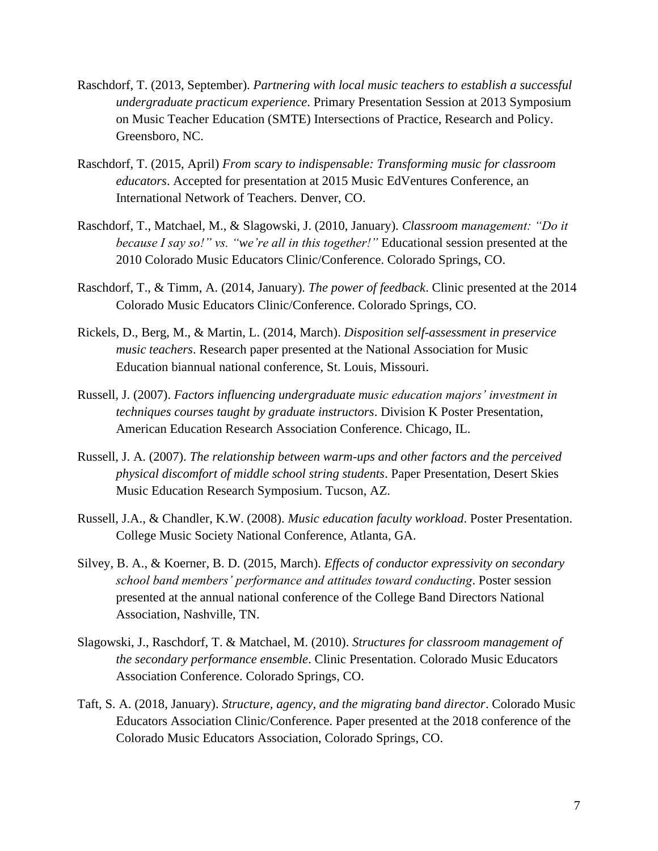- Raschdorf, T. (2013, September). *Partnering with local music teachers to establish a successful undergraduate practicum experience*. Primary Presentation Session at 2013 Symposium on Music Teacher Education (SMTE) Intersections of Practice, Research and Policy. Greensboro, NC.
- Raschdorf, T. (2015, April) *From scary to indispensable: Transforming music for classroom educators*. Accepted for presentation at 2015 Music EdVentures Conference, an International Network of Teachers. Denver, CO.
- Raschdorf, T., Matchael, M., & Slagowski, J. (2010, January). *Classroom management: "Do it because I say so!" vs. "we're all in this together!"* Educational session presented at the 2010 Colorado Music Educators Clinic/Conference. Colorado Springs, CO.
- Raschdorf, T., & Timm, A. (2014, January). *The power of feedback*. Clinic presented at the 2014 Colorado Music Educators Clinic/Conference. Colorado Springs, CO.
- Rickels, D., Berg, M., & Martin, L. (2014, March). *Disposition self-assessment in preservice music teachers*. Research paper presented at the National Association for Music Education biannual national conference, St. Louis, Missouri.
- Russell, J. (2007). *Factors influencing undergraduate music education majors' investment in techniques courses taught by graduate instructors*. Division K Poster Presentation, American Education Research Association Conference. Chicago, IL.
- Russell, J. A. (2007). *The relationship between warm-ups and other factors and the perceived physical discomfort of middle school string students*. Paper Presentation, Desert Skies Music Education Research Symposium. Tucson, AZ.
- Russell, J.A., & Chandler, K.W. (2008). *Music education faculty workload*. Poster Presentation. College Music Society National Conference, Atlanta, GA.
- Silvey, B. A., & Koerner, B. D. (2015, March). *Effects of conductor expressivity on secondary school band members' performance and attitudes toward conducting*. Poster session presented at the annual national conference of the College Band Directors National Association, Nashville, TN.
- Slagowski, J., Raschdorf, T. & Matchael, M. (2010). *Structures for classroom management of the secondary performance ensemble*. Clinic Presentation. Colorado Music Educators Association Conference. Colorado Springs, CO.
- Taft, S. A. (2018, January). *Structure, agency, and the migrating band director*. Colorado Music Educators Association Clinic/Conference. Paper presented at the 2018 conference of the Colorado Music Educators Association, Colorado Springs, CO.